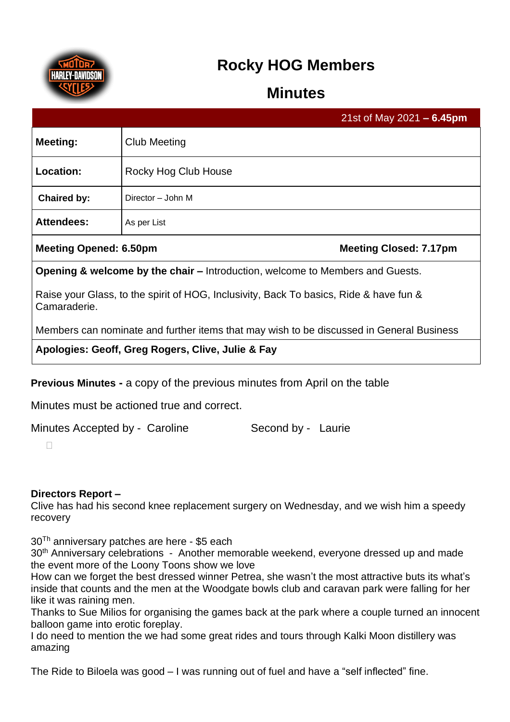

# **Rocky HOG Members**

## **Minutes**

|                                                                                                        |                      | 21st of May 2021 $- 6.45$ pm  |
|--------------------------------------------------------------------------------------------------------|----------------------|-------------------------------|
| Meeting:                                                                                               | Club Meeting         |                               |
| Location:                                                                                              | Rocky Hog Club House |                               |
| <b>Chaired by:</b>                                                                                     | Director - John M    |                               |
| <b>Attendees:</b>                                                                                      | As per List          |                               |
| <b>Meeting Opened: 6.50pm</b>                                                                          |                      | <b>Meeting Closed: 7.17pm</b> |
| <b>Opening &amp; welcome by the chair – Introduction, welcome to Members and Guests.</b>               |                      |                               |
| Raise your Glass, to the spirit of HOG, Inclusivity, Back To basics, Ride & have fun &<br>Camaraderie. |                      |                               |
| Members can nominate and further items that may wish to be discussed in General Business               |                      |                               |
| Apologies: Geoff, Greg Rogers, Clive, Julie & Fay                                                      |                      |                               |

**Previous Minutes -** a copy of the previous minutes from April on the table

Minutes must be actioned true and correct.

Minutes Accepted by - Caroline Second by - Laurie

 $\Box$ 

### **Directors Report –**

Clive has had his second knee replacement surgery on Wednesday, and we wish him a speedy recovery

30<sup>Th</sup> anniversary patches are here - \$5 each

30<sup>th</sup> Anniversary celebrations - Another memorable weekend, everyone dressed up and made the event more of the Loony Toons show we love

How can we forget the best dressed winner Petrea, she wasn't the most attractive buts its what's inside that counts and the men at the Woodgate bowls club and caravan park were falling for her like it was raining men.

Thanks to Sue Milios for organising the games back at the park where a couple turned an innocent balloon game into erotic foreplay.

I do need to mention the we had some great rides and tours through Kalki Moon distillery was amazing

The Ride to Biloela was good – I was running out of fuel and have a "self inflected" fine.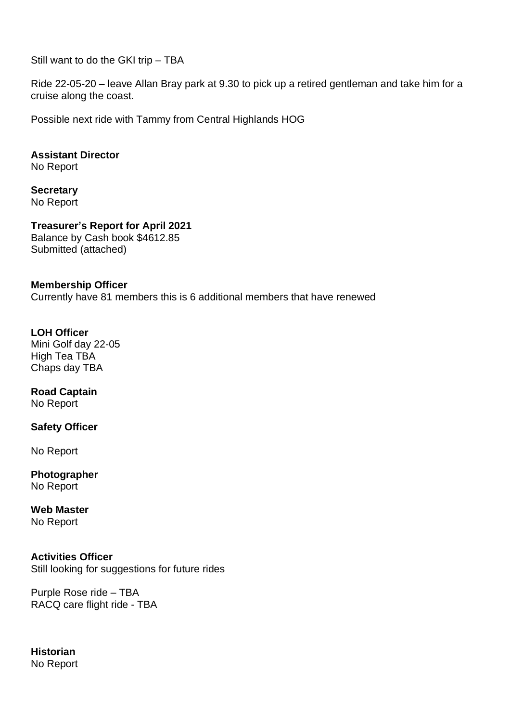Still want to do the GKI trip – TBA

Ride 22-05-20 – leave Allan Bray park at 9.30 to pick up a retired gentleman and take him for a cruise along the coast.

Possible next ride with Tammy from Central Highlands HOG

**Assistant Director** No Report

**Secretary** No Report

**Treasurer's Report for April 2021** Balance by Cash book \$4612.85 Submitted (attached)

#### **Membership Officer**

Currently have 81 members this is 6 additional members that have renewed

## **LOH Officer**

Mini Golf day 22-05 High Tea TBA Chaps day TBA

## **Road Captain**

No Report

#### **Safety Officer**

No Report

**Photographer** No Report

## **Web Master**

No Report

#### **Activities Officer**

Still looking for suggestions for future rides

Purple Rose ride – TBA RACQ care flight ride - TBA

#### **Historian** No Report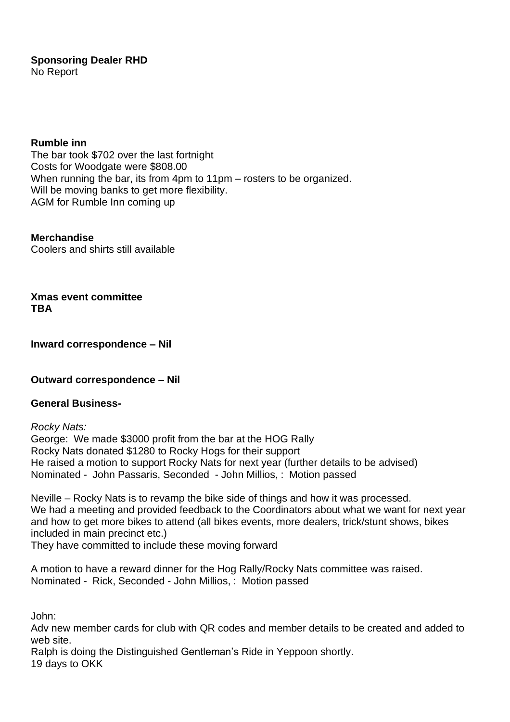**Sponsoring Dealer RHD** No Report

**Rumble inn** 

The bar took \$702 over the last fortnight Costs for Woodgate were \$808.00 When running the bar, its from 4pm to 11pm – rosters to be organized. Will be moving banks to get more flexibility. AGM for Rumble Inn coming up

**Merchandise** Coolers and shirts still available

**Xmas event committee TBA**

**Inward correspondence – Nil**

**Outward correspondence – Nil**

#### **General Business-**

*Rocky Nats:* George: We made \$3000 profit from the bar at the HOG Rally Rocky Nats donated \$1280 to Rocky Hogs for their support He raised a motion to support Rocky Nats for next year (further details to be advised) Nominated - John Passaris, Seconded - John Millios, : Motion passed

Neville – Rocky Nats is to revamp the bike side of things and how it was processed. We had a meeting and provided feedback to the Coordinators about what we want for next year and how to get more bikes to attend (all bikes events, more dealers, trick/stunt shows, bikes included in main precinct etc.)

They have committed to include these moving forward

A motion to have a reward dinner for the Hog Rally/Rocky Nats committee was raised. Nominated - Rick, Seconded - John Millios, : Motion passed

John:

Adv new member cards for club with QR codes and member details to be created and added to web site.

Ralph is doing the Distinguished Gentleman's Ride in Yeppoon shortly. 19 days to OKK